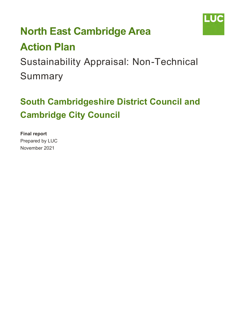

# **North East Cambridge Area**

## **Action Plan**

 Sustainability Appraisal: Non-Technical Summary

## **South Cambridgeshire District Council and Cambridge City Council**

**Final report**  Prepared by LUC November 2021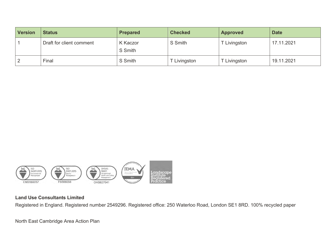| Version | <b>Status</b>            | <b>Prepared</b>     | <b>Checked</b> | <b>Approved</b> | <b>Date</b> |
|---------|--------------------------|---------------------|----------------|-----------------|-------------|
|         | Draft for client comment | K Kaczor<br>S Smith | S Smith        | T Livingston    | 17.11.2021  |
|         | Final                    | S Smith             | Livingston     | Livingston      | 19.11.2021  |



#### **Land Use Consultants Limited**

Registered in England. Registered number 2549296. Registered office: 250 Waterloo Road, London SE1 8RD. 100% recycled paper

North East Cambridge Area Action Plan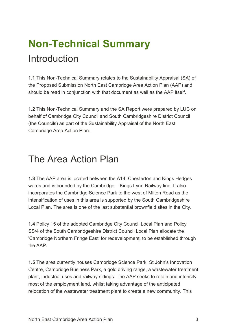## **Non-Technical Summary**  Introduction

 the Proposed Submission North East Cambridge Area Action Plan (AAP) and **1.1** This Non-Technical Summary relates to the Sustainability Appraisal (SA) of should be read in conjunction with that document as well as the AAP itself.

 **1.2** This Non-Technical Summary and the SA Report were prepared by LUC on behalf of Cambridge City Council and South Cambridgeshire District Council (the Councils) as part of the Sustainability Appraisal of the North East Cambridge Area Action Plan.

## The Area Action Plan

**1.3** The AAP area is located between the A14, Chesterton and Kings Hedges wards and is bounded by the Cambridge – Kings Lynn Railway line. It also incorporates the Cambridge Science Park to the west of Milton Road as the intensification of uses in this area is supported by the South Cambridgeshire Local Plan. The area is one of the last substantial brownfield sites in the City.

 **1.4** Policy 15 of the adopted Cambridge City Council Local Plan and Policy SS/4 of the South Cambridgeshire District Council Local Plan allocate the 'Cambridge Northern Fringe East' for redevelopment, to be established through the AAP.

**1.5** The area currently houses Cambridge Science Park, St John's Innovation Centre, Cambridge Business Park, a gold driving range, a wastewater treatment plant, industrial uses and railway sidings. The AAP seeks to retain and intensify most of the employment land, whilst taking advantage of the anticipated relocation of the wastewater treatment plant to create a new community. This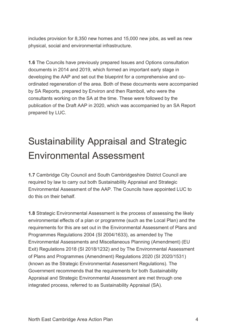includes provision for 8,350 new homes and 15,000 new jobs, as well as new physical, social and environmental infrastructure.

 consultants working on the SA at the time. These were followed by the **1.6** The Councils have previously prepared Issues and Options consultation documents in 2014 and 2019, which formed an important early stage in developing the AAP and set out the blueprint for a comprehensive and coordinated regeneration of the area. Both of these documents were accompanied by SA Reports, prepared by Environ and then Ramboll, who were the publication of the Draft AAP in 2020, which was accompanied by an SA Report prepared by LUC.

## Sustainability Appraisal and Strategic Environmental Assessment

**1.7** Cambridge City Council and South Cambridgeshire District Council are required by law to carry out both Sustainability Appraisal and Strategic Environmental Assessment of the AAP. The Councils have appointed LUC to do this on their behalf.

 environmental effects of a plan or programme (such as the Local Plan) and the **1.8** Strategic Environmental Assessment is the process of assessing the likely requirements for this are set out in the Environmental Assessment of Plans and Programmes Regulations 2004 (SI 2004/1633), as amended by The Environmental Assessments and Miscellaneous Planning (Amendment) (EU Exit) Regulations 2018 (SI 2018/1232) and by The Environmental Assessment of Plans and Programmes (Amendment) Regulations 2020 (SI 2020/1531) (known as the Strategic Environmental Assessment Regulations). The Government recommends that the requirements for both Sustainability Appraisal and Strategic Environmental Assessment are met through one integrated process, referred to as Sustainability Appraisal (SA).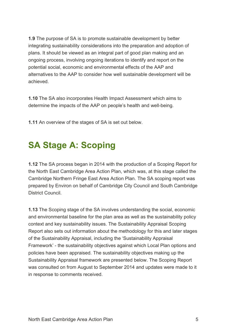integrating sustainability considerations into the preparation and adoption of **1.9** The purpose of SA is to promote sustainable development by better plans. It should be viewed as an integral part of good plan making and an ongoing process, involving ongoing iterations to identify and report on the potential social, economic and environmental effects of the AAP and alternatives to the AAP to consider how well sustainable development will be achieved.

 **1.10** The SA also incorporates Health Impact Assessment which aims to determine the impacts of the AAP on people's health and well-being.

**1.11** An overview of the stages of SA is set out below.

## **SA Stage A: Scoping**

 the North East Cambridge Area Action Plan, which was, at this stage called the **1.12** The SA process began in 2014 with the production of a Scoping Report for Cambridge Northern Fringe East Area Action Plan. The SA scoping report was prepared by Environ on behalf of Cambridge City Council and South Cambridge District Council.

 Report also sets out information about the methodology for this and later stages was consulted on from August to September 2014 and updates were made to it **1.13** The Scoping stage of the SA involves understanding the social, economic and environmental baseline for the plan area as well as the sustainability policy context and key sustainability issues. The Sustainability Appraisal Scoping of the Sustainability Appraisal, including the 'Sustainability Appraisal Framework' - the sustainability objectives against which Local Plan options and policies have been appraised. The sustainability objectives making up the Sustainability Appraisal framework are presented below. The Scoping Report in response to comments received.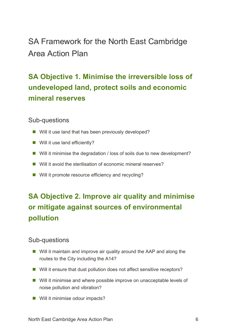## SA Framework for the North East Cambridge Area Action Plan

### **SA Objective 1. Minimise the irreversible loss of undeveloped land, protect soils and economic mineral reserves**

### Sub-questions

- Will it use land that has been previously developed?
- Will it use land efficiently?
- Will it minimise the degradation / loss of soils due to new development?
- Will it avoid the sterilisation of economic mineral reserves?
- Will it promote resource efficiency and recycling?

## **SA Objective 2. Improve air quality and minimise or mitigate against sources of environmental pollution**

### Sub-questions

- Will it maintain and improve air quality around the AAP and along the routes to the City including the A14?
- Will it ensure that dust pollution does not affect sensitive receptors?
- Will it minimise and where possible improve on unacceptable levels of noise pollution and vibration?
- Will it minimise odour impacts?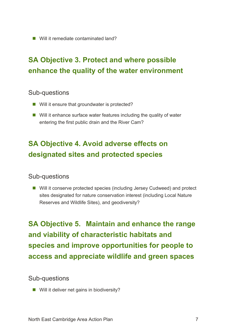■ Will it remediate contaminated land?

### **SA Objective 3. Protect and where possible enhance the quality of the water environment**

#### Sub-questions

- Will it ensure that groundwater is protected?
- Will it enhance surface water features including the quality of water entering the first public drain and the River Cam?

### **SA Objective 4. Avoid adverse effects on designated sites and protected species**

#### Sub-questions

 Reserves and Wildlife Sites), and geodiversity? ■ Will it conserve protected species (including Jersey Cudweed) and protect sites designated for nature conservation interest (including Local Nature

**SA Objective 5. Maintain and enhance the range and viability of characteristic habitats and species and improve opportunities for people to access and appreciate wildlife and green spaces** 

### Sub-questions

■ Will it deliver net gains in biodiversity?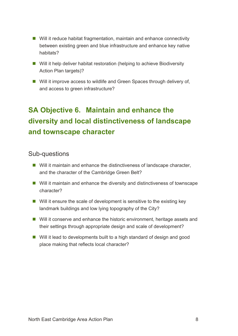- Will it reduce habitat fragmentation, maintain and enhance connectivity between existing green and blue infrastructure and enhance key native habitats?
- Action Plan targets)? ■ Will it help deliver habitat restoration (helping to achieve Biodiversity
- Will it improve access to wildlife and Green Spaces through delivery of, and access to green infrastructure?

## **SA Objective 6. Maintain and enhance the diversity and local distinctiveness of landscape and townscape character**

### Sub-questions

- Will it maintain and enhance the distinctiveness of landscape character, and the character of the Cambridge Green Belt?
- Will it maintain and enhance the diversity and distinctiveness of townscape character?
- Will it ensure the scale of development is sensitive to the existing key landmark buildings and low lying topography of the City?
- Will it conserve and enhance the historic environment, heritage assets and their settings through appropriate design and scale of development?
- Will it lead to developments built to a high standard of design and good place making that reflects local character?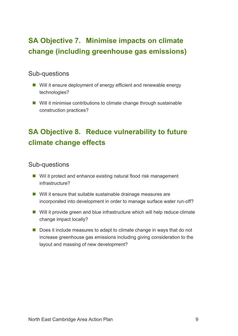### **SA Objective 7. Minimise impacts on climate change (including greenhouse gas emissions)**

### Sub-questions

- Will it ensure deployment of energy efficient and renewable energy technologies?
- Will it minimise contributions to climate change through sustainable construction practices?

### **SA Objective 8. Reduce vulnerability to future climate change effects**

### Sub-questions

- Wil it protect and enhance existing natural flood risk management infrastructure?
- Will it ensure that suitable sustainable drainage measures are incorporated into development in order to manage surface water run-off?
- Will it provide green and blue infrastructure which will help reduce climate change impact locally?
- increase greenhouse gas emissions including giving consideration to the ■ Does it include measures to adapt to climate change in ways that do not layout and massing of new development?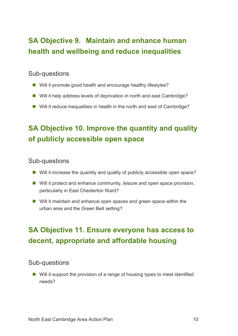### **SA Objective 9. Maintain and enhance human health and wellbeing and reduce inequalities**

### Sub-questions

- Will it promote good health and encourage healthy lifestyles?
- Will it help address levels of deprivation in north and east Cambridge?
- Will it reduce inequalities in health in the north and east of Cambridge?

## **SA Objective 10. Improve the quantity and quality of publicly accessible open space**

### Sub-questions

- Will it increase the quantity and quality of publicly accessible open space?
- Will it protect and enhance community, leisure and open space provision, particularly in East Chesterton Ward?
- urban area and the Green Belt setting? ■ Will it maintain and enhance open spaces and green space within the

### **SA Objective 11. Ensure everyone has access to decent, appropriate and affordable housing**

### Sub-questions

■ Will it support the provision of a range of housing types to meet identified needs?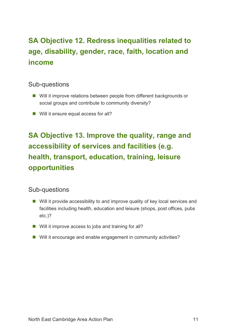## **SA Objective 12. Redress inequalities related to age, disability, gender, race, faith, location and income**

### Sub-questions

- Will it improve relations between people from different backgrounds or social groups and contribute to community diversity?
- Will it ensure equal access for all?

**SA Objective 13. Improve the quality, range and accessibility of services and facilities (e.g. health, transport, education, training, leisure opportunities** 

### Sub-questions

- Will it provide accessibility to and improve quality of key local services and facilities including health, education and leisure (shops, post offices, pubs etc.)?
- Will it improve access to jobs and training for all?
- Will it encourage and enable engagement in community activities?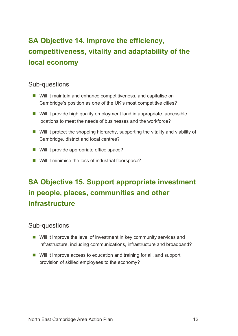## **SA Objective 14. Improve the efficiency, competitiveness, vitality and adaptability of the local economy**

### Sub-questions

- Will it maintain and enhance competitiveness, and capitalise on Cambridge's position as one of the UK's most competitive cities?
- locations to meet the needs of businesses and the workforce? ■ Will it provide high quality employment land in appropriate, accessible
- Will it protect the shopping hierarchy, supporting the vitality and viability of Cambridge, district and local centres?
- Will it provide appropriate office space?
- Will it minimise the loss of industrial floorspace?

### **SA Objective 15. Support appropriate investment in people, places, communities and other infrastructure**

### Sub-questions

- Will it improve the level of investment in key community services and infrastructure, including communications, infrastructure and broadband?
- Will it improve access to education and training for all, and support provision of skilled employees to the economy?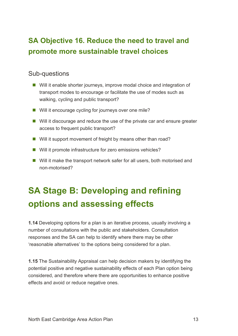### **SA Objective 16. Reduce the need to travel and promote more sustainable travel choices**

### Sub-questions

- transport modes to encourage or facilitate the use of modes such as ■ Will it enable shorter journeys, improve modal choice and integration of walking, cycling and public transport?
- Will it encourage cycling for journeys over one mile?
- Will it discourage and reduce the use of the private car and ensure greater access to frequent public transport?
- Will it support movement of freight by means other than road?
- Will it promote infrastructure for zero emissions vehicles?
- Will it make the transport network safer for all users, both motorised and non-motorised?

## **SA Stage B: Developing and refining options and assessing effects**

 responses and the SA can help to identify where there may be other **1.14** Developing options for a plan is an iterative process, usually involving a number of consultations with the public and stakeholders. Consultation 'reasonable alternatives' to the options being considered for a plan.

 potential positive and negative sustainability effects of each Plan option being **1.15** The Sustainability Appraisal can help decision makers by identifying the considered, and therefore where there are opportunities to enhance positive effects and avoid or reduce negative ones.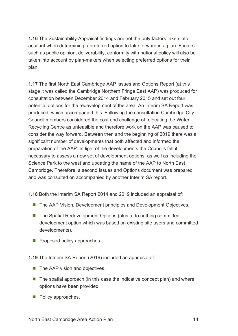account when determining a preferred option to take forward in a plan. Factors **1.16** The Sustainability Appraisal findings are not the only factors taken into such as public opinion, deliverability, conformity with national policy will also be taken into account by plan-makers when selecting preferred options for their plan.

 consultation between December 2014 and February 2015 and set out four significant number of developments that both affected and informed the preparation of the AAP. In light of the developments the Councils felt it necessary to assess a new set of development options, as well as including the Science Park to the west and updating the name of the AAP to North East **1.17** The first North East Cambridge AAP Issues and Options Report (at this stage it was called the Cambridge Northern Fringe East AAP) was produced for potential options for the redevelopment of the area. An Interim SA Report was produced, which accompanied this. Following the consultation Cambridge City Council members considered the cost and challenge of relocating the Water Recycling Centre as unfeasible and therefore work on the AAP was paused to consider the way forward. Between then and the beginning of 2019 there was a Cambridge. Therefore, a second Issues and Options document was prepared and was consulted on accompanied by another Interim SA report.

**1.18** Both the Interim SA Report 2014 and 2019 included an appraisal of:

- The AAP Vision, Development principles and Development Objectives.
- The Spatial Redevelopment Options (plus a do nothing committed development option which was based on existing site users and committed developments).
- Proposed policy approaches.

**1.19** The Interim SA Report (2019) included an appraisal of:

- The AAP vision and objectives.
- The spatial approach (in this case the indicative concept plan) and where options have been provided.
- Policy approaches.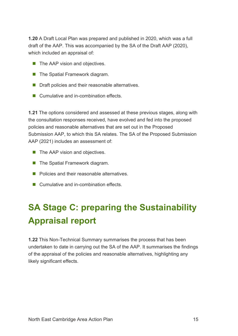which included an appraisal of: **1.20** A Draft Local Plan was prepared and published in 2020, which was a full draft of the AAP. This was accompanied by the SA of the Draft AAP (2020),

- The AAP vision and objectives.
- The Spatial Framework diagram.
- Draft policies and their reasonable alternatives.
- Cumulative and in-combination effects.

 the consultation responses received, have evolved and fed into the proposed **1.21** The options considered and assessed at these previous stages, along with policies and reasonable alternatives that are set out in the Proposed Submission AAP, to which this SA relates. The SA of the Proposed Submission AAP (2021) includes an assessment of:

- The AAP vision and objectives.
- The Spatial Framework diagram.
- Policies and their reasonable alternatives
- Cumulative and in-combination effects.

## **SA Stage C: preparing the Sustainability Appraisal report**

**1.22** This Non-Technical Summary summarises the process that has been undertaken to date in carrying out the SA of the AAP. It summarises the findings of the appraisal of the policies and reasonable alternatives, highlighting any likely significant effects.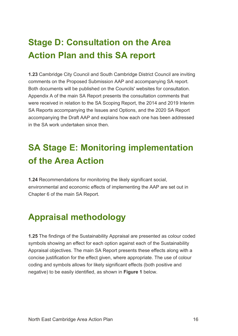## **Stage D: Consultation on the Area Action Plan and this SA report**

 comments on the Proposed Submission AAP and accompanying SA report. Both documents will be published on the Councils' websites for consultation. were received in relation to the SA Scoping Report, the 2014 and 2019 Interim accompanying the Draft AAP and explains how each one has been addressed **1.23** Cambridge City Council and South Cambridge District Council are inviting Appendix A of the main SA Report presents the consultation comments that SA Reports accompanying the Issues and Options, and the 2020 SA Report in the SA work undertaken since then.

## **of the Area Action SA Stage E: Monitoring implementation**

**1.24** Recommendations for monitoring the likely significant social, environmental and economic effects of implementing the AAP are set out in Chapter 6 of the main SA Report.

### **Appraisal methodology**

 Appraisal objectives. The main SA Report presents these effects along with a **1.25** The findings of the Sustainability Appraisal are presented as colour coded symbols showing an effect for each option against each of the Sustainability concise justification for the effect given, where appropriate. The use of colour coding and symbols allows for likely significant effects (both positive and negative) to be easily identified, as shown in **Figure 1** below.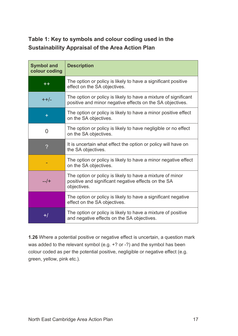### **Table 1: Key to symbols and colour coding used in the Sustainability Appraisal of the Area Action Plan**

| <b>Symbol and</b><br>colour coding | <b>Description</b>                                                                                                              |
|------------------------------------|---------------------------------------------------------------------------------------------------------------------------------|
| $^{\mathrm{+}}$                    | The option or policy is likely to have a significant positive<br>effect on the SA objectives.                                   |
| $+ +/-$                            | The option or policy is likely to have a mixture of significant<br>positive and minor negative effects on the SA objectives.    |
| $\ddot{}$                          | The option or policy is likely to have a minor positive effect<br>on the SA objectives.                                         |
| 0                                  | The option or policy is likely to have negligible or no effect<br>on the SA objectives.                                         |
| ?                                  | It is uncertain what effect the option or policy will have on<br>the SA objectives.                                             |
|                                    | The option or policy is likely to have a minor negative effect<br>on the SA objectives.                                         |
| $-1$ +                             | The option or policy is likely to have a mixture of minor<br>positive and significant negative effects on the SA<br>objectives. |
|                                    | The option or policy is likely to have a significant negative<br>effect on the SA objectives.                                   |
| $+ /$                              | The option or policy is likely to have a mixture of positive<br>and negative effects on the SA objectives.                      |

 **1.26** Where a potential positive or negative effect is uncertain, a question mark was added to the relevant symbol (e.g. +? or -?) and the symbol has been colour coded as per the potential positive, negligible or negative effect (e.g. green, yellow, pink etc.).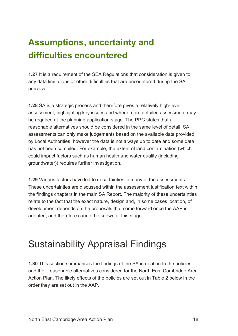## **Assumptions, uncertainty and difficulties encountered**

**1.27** It is a requirement of the SEA Regulations that consideration is given to any data limitations or other difficulties that are encountered during the SA process.

 be required at the planning application stage. The PPG states that all by Local Authorities, however the data is not always up to date and some data **1.28** SA is a strategic process and therefore gives a relatively high-level assessment, highlighting key issues and where more detailed assessment may reasonable alternatives should be considered in the same level of detail. SA assessments can only make judgements based on the available data provided has not been compiled. For example, the extent of land contamination (which could impact factors such as human health and water quality (including groundwater)) requires further investigation.

**1.29** Various factors have led to uncertainties in many of the assessments. These uncertainties are discussed within the assessment justification text within the findings chapters in the main SA Report. The majority of these uncertainties relate to the fact that the exact nature, design and, in some cases location, of development depends on the proposals that come forward once the AAP is adopted, and therefore cannot be known at this stage.

## Sustainability Appraisal Findings

 and their reasonable alternatives considered for the North East Cambridge Area **1.30** This section summarises the findings of the SA in relation to the policies Action Plan. The likely effects of the policies are set out in Table 2 below in the order they are set out in the AAP.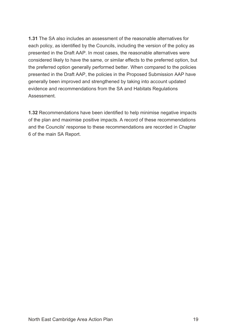each policy, as identified by the Councils, including the version of the policy as the preferred option generally performed better. When compared to the policies **1.31** The SA also includes an assessment of the reasonable alternatives for presented in the Draft AAP. In most cases, the reasonable alternatives were considered likely to have the same, or similar effects to the preferred option, but presented in the Draft AAP, the policies in the Proposed Submission AAP have generally been improved and strengthened by taking into account updated evidence and recommendations from the SA and Habitats Regulations Assessment.

 of the plan and maximise positive impacts. A record of these recommendations **1.32** Recommendations have been identified to help minimise negative impacts and the Councils' response to these recommendations are recorded in Chapter 6 of the main SA Report.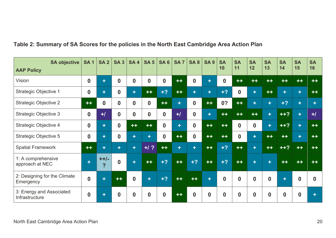### **Table 2: Summary of SA Scores for the policies in the North East Cambridge Area Action Plan**

| <b>SA objective</b><br><b>AAP Policy</b>   | <b>SA1</b>       | <b>SA 2</b>               | <b>SA 3</b> | <b>SA4</b>       | <b>SA 5</b>  | <b>SA 6</b>      | <b>SA7</b>           | <b>SA8</b>           | <b>SA 9</b> | <b>SA</b><br>10 | <b>SA</b><br>11 | <b>SA</b><br>12      | <b>SA</b><br>13      | <b>SA</b><br>14 | <b>SA</b><br>15 | <b>SA</b><br>16 |
|--------------------------------------------|------------------|---------------------------|-------------|------------------|--------------|------------------|----------------------|----------------------|-------------|-----------------|-----------------|----------------------|----------------------|-----------------|-----------------|-----------------|
| Vision                                     | $\bf{0}$         | ÷                         | $\bf{0}$    | $\boldsymbol{0}$ | $\bf{0}$     | $\bf{0}$         | $++$                 | $\bf{0}$             | ÷           | $\bf{0}$        | $++$            | $++$                 | $\bm{+}\bm{+}$       |                 |                 | $+ +$           |
| <b>Strategic Objective 1</b>               | $\mathbf 0$      | ÷.                        | $\bf{0}$    | ÷                | $++$         | $+2$             | $++$                 | ÷                    | ÷           | $+2$            | $\bf{0}$        | $\ddot{\phantom{1}}$ | $++$                 | ÷               | ٠               | $++$            |
| <b>Strategic Objective 2</b>               | $++$             | $\bf{0}$                  | $\bf{0}$    | $\bf{0}$         | 0            | $++$             | ÷.                   | $\bf{0}$             | $+ +$       | 0?              | $++$            | $\ddot{\phantom{1}}$ | $\ddot{\phantom{1}}$ | $+2$            | ÷               | ÷               |
| <b>Strategic Objective 3</b>               | $\boldsymbol{0}$ | $+1$                      | $\bf{0}$    | $\boldsymbol{0}$ | $\mathbf 0$  | $\boldsymbol{0}$ | $+1$                 | $\mathbf{0}$         | ÷           |                 |                 | $+ +$                | $\ddot{\phantom{1}}$ | $++?$           | ÷               | $+1$            |
| <b>Strategic Objective 4</b>               | $\bf{0}$         | ÷                         | $\bf{0}$    | $++$             | $++$         | $\bf{0}$         | $+$                  | $\bf{0}$             | $+ +$       | $++$            | $\bf{0}$        | $\bf{0}$             | ÷                    | $++?$           | ÷               | $++$            |
| <b>Strategic Objective 5</b>               | $\bf{0}$         | ÷.                        | $\bf{0}$    | ÷                | ÷            | $\bf{0}$         | $++$                 | $\bf{0}$             | $++$        | $++$            | $\bf{0}$        | $\ddot{\phantom{1}}$ | $+ +$                |                 |                 | $++$            |
| <b>Spatial Framework</b>                   | $++$             | ÷                         | ÷           | ÷                | $+1$ ?       | $++$             | $\ddot{\phantom{1}}$ | $\ddot{\phantom{1}}$ | $++$        | $+2$            | $++$            | $\ddot{\phantom{1}}$ |                      |                 |                 | $+ +$           |
| 1: A comprehensive<br>approach at NEC      | ٠                | $+$ +/-<br>$\overline{?}$ | $\bf{0}$    | ٠                | $++$         | $+2$             | $++$                 | $+2$                 | $++$        | $+2$            | $++$            | ٠                    | ÷                    |                 |                 |                 |
| 2: Designing for the Climate<br>Emergency  | $\bf{0}$         | ÷.                        | $+ +$       | O                | ÷            | $+2$             | ++                   | ++                   | ÷           | $\mathbf{0}$    | $\bf{0}$        | $\bf{0}$             | $\bf{0}$             | ÷               | $\bf{0}$        | $\bf{0}$        |
| 3: Energy and Associated<br>Infrastructure | $\bf{0}$         | ٠                         | $\Omega$    | $\bf{0}$         | $\mathbf{0}$ | $\bf{0}$         | $++$                 | $\mathbf{0}$         | $\bf{0}$    | 0               | $\bf{0}$        | $\bf{0}$             | $\bf{0}$             | $\mathbf 0$     | $\bf{0}$        |                 |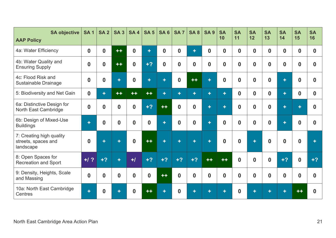| <b>SA objective</b><br><b>AAP Policy</b>                     | <b>SA1</b>           | SA2          | <b>SA3</b>           | <b>SA4</b>   | <b>SA 5</b>          | <b>SA6</b> | <b>SA7</b>   | <b>SA8</b>           | <b>SA 9</b> | <b>SA</b><br>10 | <b>SA</b><br>11 | <b>SA</b><br>12  | <b>SA</b><br>13  | <b>SA</b><br>14 | <b>SA</b><br>15 | <b>SA</b><br>16 |
|--------------------------------------------------------------|----------------------|--------------|----------------------|--------------|----------------------|------------|--------------|----------------------|-------------|-----------------|-----------------|------------------|------------------|-----------------|-----------------|-----------------|
| 4a: Water Efficiency                                         | $\bf{0}$             | $\mathbf{0}$ | $++$                 | $\bf{0}$     | ÷                    | $\bf{0}$   | $\bf{0}$     | $\ddot{\phantom{a}}$ | $\bf{0}$    | $\mathbf{0}$    | $\mathbf{0}$    | $\mathbf 0$      | $\bf{0}$         | $\bf{0}$        | $\bf{0}$        | $\bf{0}$        |
| 4b: Water Quality and<br><b>Ensuring Supply</b>              | $\bf{0}$             | $\mathbf{0}$ | $++$                 | $\mathbf{0}$ | $+2$                 | $\bf{0}$   | $\bf{0}$     | $\bf{0}$             | $\bf{0}$    | $\bf{0}$        | $\bf{0}$        | $\boldsymbol{0}$ | $\mathbf 0$      | $\bf{0}$        | $\bf{0}$        | $\bf{0}$        |
| 4c: Flood Risk and<br>Sustainable Drainage                   | $\bf{0}$             | $\bf{0}$     | ÷                    | 0            | $\ddot{\phantom{1}}$ | ÷          | $\bf{0}$     | $++$                 | ÷           | $\bf{0}$        | $\bf{0}$        | $\bf{0}$         | $\bf{0}$         | ÷               | $\bf{0}$        | $\bf{0}$        |
| 5: Biodiversity and Net Gain                                 | $\mathbf 0$          | ÷.           | ┿┿                   |              | ╋╺╋╸                 | ÷          | ÷            | $\ddot{\phantom{1}}$ | ÷           | ÷               | $\bf{0}$        | $\mathbf 0$      | $\boldsymbol{0}$ | ÷               | $\bf{0}$        | $\bf{0}$        |
| 6a: Distinctive Design for<br>North East Cambridge           | $\bf{0}$             | $\bf{0}$     | $\bf{0}$             | $\mathbf{0}$ | $+2$                 | $++$       | $\bf{0}$     | $\bf{0}$             | ÷           | ٠               | $\bf{0}$        | $\bf{0}$         | $\bf{0}$         | ÷               |                 | n               |
| 6b: Design of Mixed-Use<br><b>Buildings</b>                  | $\ddot{\phantom{1}}$ | $\bf{0}$     | $\bf{0}$             | $\mathbf{0}$ | $\mathbf 0$          | ÷          | $\mathbf{0}$ | $\bf{0}$             | ÷           | $\bf{0}$        | $\bf{0}$        | $\bf{0}$         | $\bf{0}$         | ٠               | $\bf{0}$        | $\mathbf{0}$    |
| 7: Creating high quality<br>streets, spaces and<br>landscape | $\bf{0}$             | ÷.           |                      | Ω            | $++$                 | ÷          | ÷            | ÷                    |             | $\bf{0}$        | $\bf{0}$        | ٠                | $\bf{0}$         | $\bf{0}$        | $\bf{0}$        |                 |
| 8: Open Spaces for<br><b>Recreation and Sport</b>            | $+1$ ?               | $+2$         | $\ddot{\phantom{1}}$ | $+1$         | $+2$                 | $+2$       | $+2$         | $+2$                 | ╋╶╋         | $+ +$           | $\bf{0}$        | $\bf{0}$         | $\bf{0}$         | $+2$            | $\bf{0}$        | $+2$            |
| 9: Density, Heights, Scale<br>and Massing                    | $\bf{0}$             | $\bf{0}$     | $\bf{0}$             | $\bf{0}$     | $\mathbf{0}$         | $++$       | $\mathbf{0}$ | $\bf{0}$             | $\bf{0}$    | $\bf{0}$        | $\bf{0}$        | $\bf{0}$         | $\mathbf 0$      | $\bf{0}$        | $\bf{0}$        | $\mathbf{0}$    |
| 10a: North East Cambridge<br><b>Centres</b>                  | ÷                    | $\mathbf{0}$ |                      | Λ            | ┿┿                   | ÷          | $\mathbf{0}$ |                      |             |                 | O               | ÷                | ÷                | 4.              |                 |                 |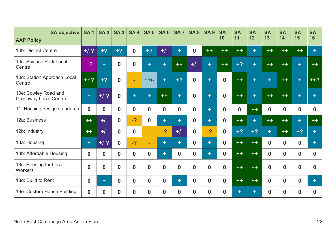| <b>SA objective</b><br><b>AAP Policy</b>             | <b>SA1</b>       | <b>SA 2</b>  | <b>SA 3</b> | <b>SA4</b>  | <b>SA 5</b>  | <b>SA 6</b>          | <b>SA 7</b>      | <b>SA8</b>  | <b>SA 9</b> | <b>SA</b><br>10 | <b>SA</b><br>11 | <b>SA</b><br>12                | <b>SA</b><br>13      | <b>SA</b><br>14 | <b>SA</b><br>15 | <b>SA</b><br>16 |
|------------------------------------------------------|------------------|--------------|-------------|-------------|--------------|----------------------|------------------|-------------|-------------|-----------------|-----------------|--------------------------------|----------------------|-----------------|-----------------|-----------------|
| 10b: District Centre                                 | $+1$ ?           | $+?$         | $+2$        | $\bf{0}$    | $+2$         | $+1$                 | $+$              | $\bf{0}$    | $+ +$       |                 | $+ +$           | ÷                              |                      |                 | ╋╈              |                 |
| 10c: Science Park Local<br>Centre                    | $\overline{?}$   | ÷            | $\bf{0}$    | $\bf{0}$    | ÷            | ÷                    | $+ +$            | $+1$        | ÷           | $+ +$           | $+2$            | $\ddot{}$                      |                      |                 |                 | ++              |
| 10d: Station Approach Local<br>Centre                | $++?$            | $+2$         | $\bf{0}$    | ٠           | $++/-$       | $\ddot{\phantom{1}}$ | $+2$             | $\bf{0}$    | ÷           | Ω               | $++$            | ÷                              | ٠                    | $++$            |                 | $++2$           |
| 10e: Cowley Road and<br><b>Greenway Local Centre</b> | ÷                | $+1?$        | $\bf{0}$    | ÷           | ÷            | $++$                 | ÷                | $\bf{0}$    | ÷           | N               | $+ +$           | ÷                              |                      |                 |                 |                 |
| 11: Housing design standards                         | $\mathbf 0$      | $\bf{0}$     | $\bf{0}$    | $\bf{0}$    | $\mathbf 0$  | $\bf{0}$             | $\mathbf 0$      | $\bf{0}$    | ÷           | $\bf{0}$        | $\bf{0}$        | $++$                           | $\bf{0}$             | $\bf{0}$        | $\mathbf 0$     | 0               |
| 12a: Business                                        | $++$             | $+1$         | $\bf{0}$    | $-2$        | $\mathbf{0}$ | ÷                    | ÷                | $\bf{0}$    | ٠           | $\bf{0}$        | $++$            | $\ddot{\phantom{1}}$           | $++$                 | ++              | ÷               | $++$            |
| 12b: Industry                                        | $++$             | $+1$         | $\bf{0}$    | $\mathbf 0$ | $\sim$       | $-2$                 | $+1$             | $\mathbf 0$ | $-2$        | 0               | $+2$            | $+2$                           | $\ddot{\phantom{1}}$ | $+ +$           | $+2$            |                 |
| 13a: Housing                                         | $\pm$            | $+1?$        | $\mathbf 0$ | $-2$        | $\sim$       | ÷                    | ÷.               | $\bf{0}$    | ÷           | $\mathbf{0}$    | $+ +$           | $+ +$                          | $\bf{0}$             | $\bf{0}$        | $\bf{0}$        | ÷               |
| 13b: Affordable Housing                              | $\boldsymbol{0}$ | $\bf{0}$     | $\mathbf 0$ | $\mathbf 0$ | $\bf{0}$     | $\ddot{\phantom{1}}$ | $\mathbf 0$      | $\mathbf 0$ | ٠           | $\mathbf{0}$    | $+ +$           | $++$                           | $\mathbf 0$          | $\bf{0}$        | $\mathbf 0$     | 0               |
| 13c: Housing for Local<br><b>Workers</b>             | $\bf{0}$         | $\bf{0}$     | $\bf{0}$    | $\bf{0}$    | $\bf{0}$     | $\bf{0}$             | $\boldsymbol{0}$ | $\bf{0}$    | $\bf{0}$    | O               |                 | $\boldsymbol{+}\boldsymbol{+}$ | $\bf{0}$             | $\bf{0}$        | $\bf{0}$        | O.              |
| 13d: Build to Rent                                   | $\boldsymbol{0}$ | ÷.           | $\bf{0}$    | $\bf{0}$    | $\mathbf 0$  | $\boldsymbol{0}$     | $+$              | $\mathbf 0$ | $\bf{0}$    | 0               | $+ +$           | $++$                           | $\mathbf 0$          | $\mathbf 0$     | $\bf{0}$        |                 |
| 13e: Custom House Building                           | $\mathbf 0$      | $\mathbf{0}$ | $\bf{0}$    | $\bf{0}$    | $\mathbf{0}$ | $\bf{0}$             | $\mathbf 0$      | $\bf{0}$    | $\bf{0}$    | O.              | ٠               |                                | $\mathbf 0$          | $\bf{0}$        | $\bf{0}$        | n.              |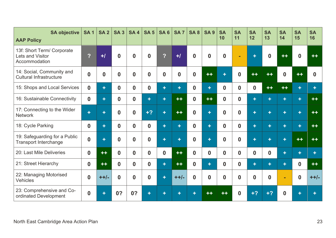| <b>SA objective</b><br><b>AAP Policy</b>                        | <b>SA1</b>           | SA2      | <b>SA 3</b>  | <b>SA4</b>  | SA 5         | <b>SA 6</b>          | <b>SA7</b> | <b>SA8</b>   | <b>SA9</b>           | <b>SA</b><br>10 | <b>SA</b><br>11 | <b>SA</b><br>12 | <b>SA</b><br>13      | <b>SA</b><br>14 | <b>SA</b><br>15 | <b>SA</b><br>16 |
|-----------------------------------------------------------------|----------------------|----------|--------------|-------------|--------------|----------------------|------------|--------------|----------------------|-----------------|-----------------|-----------------|----------------------|-----------------|-----------------|-----------------|
| 13f: Short Term/ Corporate<br>Lets and Visitor<br>Accommodation | $\overline{?}$       | $+1$     | $\bf{0}$     | $\bf{0}$    | 0            | 2                    | $+$ /      | $\bf{0}$     | $\bf{0}$             | $\bf{0}$        | ٠               | ٠               | $\bf{0}$             |                 | O               |                 |
| 14: Social, Community and<br><b>Cultural Infrastructure</b>     | $\bf{0}$             | $\bf{0}$ | $\bf{0}$     | $\bf{0}$    | $\mathbf 0$  | $\bf{0}$             | $\bf{0}$   | $\bf{0}$     | $++$                 |                 | $\bf{0}$        | $+ +$           | $\color{red}+$       | $\bf{0}$        | ┿┿              | 0               |
| 15: Shops and Local Services                                    | $\mathbf{0}$         | ٠        | $\bf{0}$     | $\bf{0}$    | $\bf{0}$     | $\ddot{\phantom{1}}$ | ÷          | $\bf{0}$     | ÷                    | $\bf{0}$        | $\bf{0}$        | $\bf{0}$        | $++$                 | ++              | ٠               |                 |
| 16: Sustainable Connectivity                                    | $\bf{0}$             | ÷        | $\bf{0}$     | $\bf{0}$    | ÷            | $\ddot{\phantom{1}}$ | $++$       | $\bf{0}$     | $++$                 | $\bf{0}$        | $\bf{0}$        | ÷               | $\ddot{\phantom{1}}$ | ÷               | ۰               | $++$            |
| 17: Connecting to the Wider<br><b>Network</b>                   | $\ddot{\phantom{1}}$ | ÷        | $\bf{0}$     | $\bf{0}$    | $+2$         | $\ddot{\phantom{1}}$ | $++$       | $\bf{0}$     | ÷                    | $\bf{0}$        | $\bf{0}$        | $\ddot{}$       | ÷                    | ÷               |                 | ╋╺╋             |
| 18: Cycle Parking                                               | $\bf{0}$             | ٠        | $\bf{0}$     | $\bf{0}$    | $\bf{0}$     | $\ddot{\phantom{1}}$ | ÷          | $\bf{0}$     | ÷                    | $\bf{0}$        | $\bf{0}$        | ÷               | ÷                    | ÷               |                 | ++              |
| 19: Safeguarding for a Public<br><b>Transport Interchange</b>   | $\bf{0}$             |          | $\bf{0}$     | $\bf{0}$    | $\bf{0}$     | $\ddot{\phantom{1}}$ | ÷          | $\bf{0}$     | ÷                    | $\bf{0}$        | $\bf{0}$        | ÷               | ÷                    | ÷               |                 |                 |
| 20: Last Mile Deliveries                                        | $\mathbf 0$          | $++$     | $\bf{0}$     | $\mathbf 0$ | $\bf{0}$     | $\bf{0}$             | $++$       | $\bf{0}$     | $\bf{0}$             | $\mathbf{0}$    | $\bf{0}$        | $\bf{0}$        | $\mathbf{0}$         | ÷               |                 |                 |
| 21: Street Hierarchy                                            | $\mathbf 0$          | $++$     | $\mathbf{0}$ | $\bf{0}$    | $\mathbf{0}$ | $\ddot{\phantom{a}}$ | $++$       | $\mathbf{0}$ | $\ddot{\phantom{1}}$ | $\mathbf{0}$    | $\mathbf{0}$    | ÷               | ÷                    | ÷               | $\mathbf{0}$    | $++$            |
| 22: Managing Motorised<br>Vehicles                              | $\bf{0}$             | $++/-$   | $\bf{0}$     | $\bf{0}$    | $\bf{0}$     | $\ddot{\phantom{1}}$ | $++/-$     | $\bf{0}$     | $\bf{0}$             | $\mathbf{0}$    | $\bf{0}$        | $\bf{0}$        | $\bf{0}$             | ۰               | $\bf{0}$        | $++/-$          |
| 23: Comprehensive and Co-<br>ordinated Development              | $\bf{0}$             | ÷        | 0?           | 0?          |              | J.                   | ÷          |              |                      |                 | 0               | $+2$            | $+2$                 | 0               |                 |                 |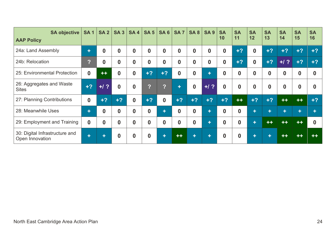| <b>SA objective</b>                               | <b>SA1</b>  | SA2      | SA3         | <b>SA4</b>       | SA 5         | <b>SA6</b> | <b>SA7</b>       | <b>SA8</b> | <b>SA9</b>           | <b>SA</b>    | <b>SA</b>    | <b>SA</b> | <b>SA</b>   | <b>SA</b> | <b>SA</b> | <b>SA</b> |
|---------------------------------------------------|-------------|----------|-------------|------------------|--------------|------------|------------------|------------|----------------------|--------------|--------------|-----------|-------------|-----------|-----------|-----------|
| <b>AAP Policy</b>                                 |             |          |             |                  |              |            |                  |            |                      | 10           | 11           | 12        | 13          | 14        | 15        | 16        |
| 24a: Land Assembly                                | ÷           | $\bf{0}$ | $\mathbf 0$ | $\boldsymbol{0}$ | $\mathbf{0}$ | $\bf{0}$   | $\bf{0}$         | $\bf{0}$   | $\bf{0}$             | $\mathbf{0}$ | $+2$         | $\bf{0}$  | $+2$        | $+2$      | $+2$      | $+2$      |
| 24b: Relocation                                   | 2           | $\bf{0}$ | $\mathbf 0$ | $\bf{0}$         | $\mathbf{0}$ | $\bf{0}$   | $\bf{0}$         | $\bf{0}$   | $\bf{0}$             | $\mathbf{0}$ | $+2$         | $\bf{0}$  | $+?$        | $+1$ ?    | $+?$      | $+2$      |
| 25: Environmental Protection                      | $\mathbf 0$ | $+ +$    | $\bf{0}$    | $\bf{0}$         | $+2$         | $+2$       | $\bf{0}$         | $\bf{0}$   | $\ddot{\phantom{1}}$ | $\bf{0}$     | $\bf{0}$     | $\bf{0}$  | $\bf{0}$    | $\bf{0}$  | $\bf{0}$  | 0         |
| 26: Aggregates and Waste<br><b>Sites</b>          | $+2$        | $+1$ ?   | $\bf{0}$    | $\bf{0}$         | 2            | 2          | ٠                | $\bf{0}$   | $+1$ ?               | $\bf{0}$     | $\bf{0}$     | $\bf{0}$  | $\mathbf 0$ | $\bf{0}$  | $\bf{0}$  | $\bf{0}$  |
| 27: Planning Contributions                        | $\bf{0}$    | $+2$     | $+2$        | $\bf{0}$         | $+2$         | $\bf{0}$   | $+2$             | $+2$       | $+2$                 | $+2$         | $++$         | $+2$      | $+2$        | $++$      | $++$      | $+2$      |
| 28: Meanwhile Uses                                | ÷           | $\bf{0}$ | $\bf{0}$    | $\boldsymbol{0}$ | $\bf{0}$     | ÷          | $\bf{0}$         | $\bf{0}$   | ÷                    | $\bf{0}$     | $\bf{0}$     | ÷         | ٠           | ÷         | ٠         |           |
| 29: Employment and Training                       | $\mathbf 0$ | $\bf{0}$ | $\bf{0}$    | $\bf{0}$         | $\bf{0}$     | $\bf{0}$   | $\boldsymbol{0}$ | $\bf{0}$   | ÷                    | $\mathbf{0}$ | $\mathbf{0}$ | ٠         | $+ +$       |           |           |           |
| 30: Digital Infrastructure and<br>Open Innovation | ÷           | ÷        | $\bf{0}$    | $\boldsymbol{0}$ | 0            | ÷          | $++$             | ٠          | ÷                    | $\mathbf{0}$ | $\bf{0}$     | ÷         | ÷           |           |           |           |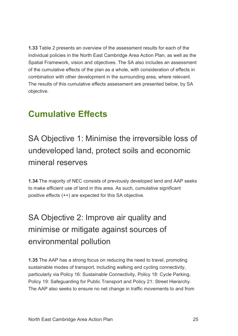combination with other development in the surrounding area, where relevant. **1.33** Table 2 presents an overview of the assessment results for each of the individual policies in the North East Cambridge Area Action Plan, as well as the Spatial Framework, vision and objectives. The SA also includes an assessment of the cumulative effects of the plan as a whole, with consideration of effects in The results of this cumulative effects assessment are presented below, by SA objective.

## **Cumulative Effects**

SA Objective 1: Minimise the irreversible loss of undeveloped land, protect soils and economic mineral reserves

 to make efficient use of land in this area. As such, cumulative significant **1.34** The majority of NEC consists of previously developed land and AAP seeks positive effects (++) are expected for this SA objective.

## SA Objective 2: Improve air quality and minimise or mitigate against sources of environmental pollution

**1.35** The AAP has a strong focus on reducing the need to travel, promoting sustainable modes of transport, including walking and cycling connectivity, particularly via Policy 16: Sustainable Connectivity, Policy 18: Cycle Parking, Policy 19: Safeguarding for Public Transport and Policy 21: Street Hierarchy. The AAP also seeks to ensure no net change in traffic movements to and from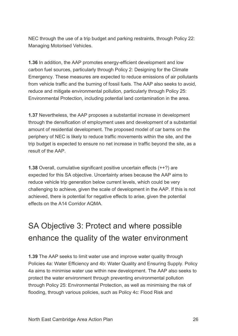NEC through the use of a trip budget and parking restraints, through Policy 22: Managing Motorised Vehicles.

 carbon fuel sources, particularly through Policy 2: Designing for the Climate **1.36** In addition, the AAP promotes energy-efficient development and low Emergency. These measures are expected to reduce emissions of air pollutants from vehicle traffic and the burning of fossil fuels. The AAP also seeks to avoid, reduce and mitigate environmental pollution, particularly through Policy 25: Environmental Protection, including potential land contamination in the area.

 amount of residential development. The proposed model of car barns on the **1.37** Nevertheless, the AAP proposes a substantial increase in development through the densification of employment uses and development of a substantial periphery of NEC is likely to reduce traffic movements within the site, and the trip budget is expected to ensure no net increase in traffic beyond the site, as a result of the AAP.

 expected for this SA objective. Uncertainty arises because the AAP aims to **1.38** Overall, cumulative significant positive uncertain effects (++?) are reduce vehicle trip generation below current levels, which could be very challenging to achieve, given the scale of development in the AAP. If this is not achieved, there is potential for negative effects to arise, given the potential effects on the A14 Corridor AQMA.

## SA Objective 3: Protect and where possible enhance the quality of the water environment

**1.39** The AAP seeks to limit water use and improve water quality through Policies 4a: Water Efficiency and 4b: Water Quality and Ensuring Supply. Policy 4a aims to minimise water use within new development. The AAP also seeks to protect the water environment through preventing environmental pollution through Policy 25: Environmental Protection, as well as minimising the risk of flooding, through various policies, such as Policy 4c: Flood Risk and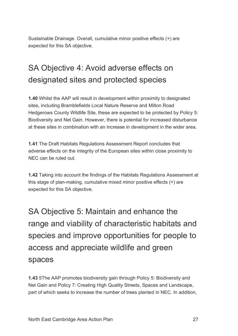expected for this SA objective. Sustainable Drainage. Overall, cumulative minor positive effects (+) are

## SA Objective 4: Avoid adverse effects on designated sites and protected species

 **1.40** Whilst the AAP will result in development within proximity to designated sites, including Bramblefields Local Nature Reserve and Milton Road Hedgerows County Wildlife Site, these are expected to be protected by Policy 5: Biodiversity and Net Gain. However, there is potential for increased disturbance at these sites in combination with an increase in development in the wider area.

**1.41** The Draft Habitats Regulations Assessment Report concludes that adverse effects on the integrity of the European sites within close proximity to NEC can be ruled out.

 expected for this SA objective. **1.42** Taking into account the findings of the Habitats Regulations Assessment at this stage of plan-making, cumulative mixed minor positive effects (+) are

SA Objective 5: Maintain and enhance the range and viability of characteristic habitats and species and improve opportunities for people to access and appreciate wildlife and green spaces

 **1.43** 5The AAP promotes biodiversity gain through Policy 5: Biodiversity and Net Gain and Policy 7: Creating High Quality Streets, Spaces and Landscape, part of which seeks to increase the number of trees planted in NEC. In addition,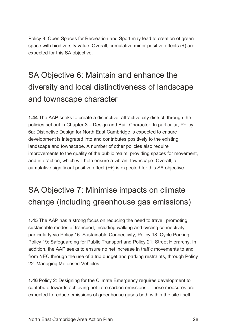expected for this SA objective. Policy 8: Open Spaces for Recreation and Sport may lead to creation of green space with biodiversity value. Overall, cumulative minor positive effects (+) are

## SA Objective 6: Maintain and enhance the diversity and local distinctiveness of landscape and townscape character

 **1.44** The AAP seeks to create a distinctive, attractive city district, through the policies set out in Chapter 3 – Design and Built Character. In particular, Policy 6a: Distinctive Design for North East Cambridge is expected to ensure development is integrated into and contributes positively to the existing landscape and townscape. A number of other policies also require improvements to the quality of the public realm, providing spaces for movement, and interaction, which will help ensure a vibrant townscape. Overall, a cumulative significant positive effect (++) is expected for this SA objective.

## SA Objective 7: Minimise impacts on climate change (including greenhouse gas emissions)

 from NEC through the use of a trip budget and parking restraints, through Policy **1.45** The AAP has a strong focus on reducing the need to travel, promoting sustainable modes of transport, including walking and cycling connectivity, particularly via Policy 16: Sustainable Connectivity, Policy 18: Cycle Parking, Policy 19: Safeguarding for Public Transport and Policy 21: Street Hierarchy. In addition, the AAP seeks to ensure no net increase in traffic movements to and 22: Managing Motorised Vehicles.

**1.46** Policy 2: Designing for the Climate Emergency requires development to contribute towards achieving net zero carbon emissions . These measures are expected to reduce emissions of greenhouse gases both within the site itself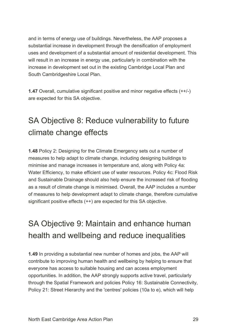and in terms of energy use of buildings. Nevertheless, the AAP proposes a substantial increase in development through the densification of employment uses and development of a substantial amount of residential development. This will result in an increase in energy use, particularly in combination with the increase in development set out in the existing Cambridge Local Plan and South Cambridgeshire Local Plan.

**1.47** Overall, cumulative significant positive and minor negative effects (++/-) are expected for this SA objective.

## SA Objective 8: Reduce vulnerability to future climate change effects

 measures to help adapt to climate change, including designing buildings to minimise and manage increases in temperature and, along with Policy 4a: **1.48** Policy 2: Designing for the Climate Emergency sets out a number of Water Efficiency, to make efficient use of water resources. Policy 4c: Flood Risk and Sustainable Drainage should also help ensure the increased risk of flooding as a result of climate change is minimised. Overall, the AAP includes a number of measures to help development adapt to climate change, therefore cumulative significant positive effects (++) are expected for this SA objective.

## SA Objective 9: Maintain and enhance human health and wellbeing and reduce inequalities

 **1.49** In providing a substantial new number of homes and jobs, the AAP will contribute to improving human health and wellbeing by helping to ensure that everyone has access to suitable housing and can access employment opportunities. In addition, the AAP strongly supports active travel, particularly through the Spatial Framework and policies Policy 16: Sustainable Connectivity, Policy 21: Street Hierarchy and the 'centres' policies (10a to e), which will help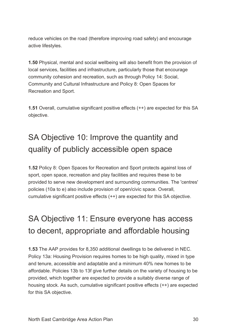reduce vehicles on the road (therefore improving road safety) and encourage active lifestyles.

**1.50** Physical, mental and social wellbeing will also benefit from the provision of local services, facilities and infrastructure, particularly those that encourage community cohesion and recreation, such as through Policy 14: Social, Community and Cultural Infrastructure and Policy 8: Open Spaces for Recreation and Sport.

**1.51** Overall, cumulative significant positive effects (++) are expected for this SA objective.

## SA Objective 10: Improve the quantity and quality of publicly accessible open space

**1.52** Policy 8: Open Spaces for Recreation and Sport protects against loss of sport, open space, recreation and play facilities and requires these to be provided to serve new development and surrounding communities. The 'centres' policies (10a to e) also include provision of open/civic space. Overall, cumulative significant positive effects (++) are expected for this SA objective.

## SA Objective 11: Ensure everyone has access to decent, appropriate and affordable housing

 Policy 13a: Housing Provision requires homes to be high quality, mixed in type affordable. Policies 13b to 13f give further details on the variety of housing to be provided, which together are expected to provide a suitably diverse range of **1.53** The AAP provides for 8,350 additional dwellings to be delivered in NEC. and tenure, accessible and adaptable and a minimum 40% new homes to be housing stock. As such, cumulative significant positive effects (++) are expected for this SA objective.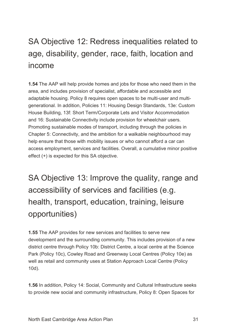## SA Objective 12: Redress inequalities related to age, disability, gender, race, faith, location and income

 **1.54** The AAP will help provide homes and jobs for those who need them in the Promoting sustainable modes of transport, including through the policies in Chapter 5: Connectivity, and the ambition for a walkable neighbourhood may area, and includes provision of specialist, affordable and accessible and adaptable housing. Policy 8 requires open spaces to be multi-user and multigenerational. In addition, Policies 11: Housing Design Standards, 13e: Custom House Building, 13f: Short Term/Corporate Lets and Visitor Accommodation and 16: Sustainable Connectivity include provision for wheelchair users. help ensure that those with mobility issues or who cannot afford a car can access employment, services and facilities. Overall, a cumulative minor positive effect (+) is expected for this SA objective.

SA Objective 13: Improve the quality, range and accessibility of services and facilities (e.g. health, transport, education, training, leisure opportunities)

**1.55** The AAP provides for new services and facilities to serve new development and the surrounding community. This includes provision of a new district centre through Policy 10b: District Centre, a local centre at the Science Park (Policy 10c), Cowley Road and Greenway Local Centres (Policy 10e) as well as retail and community uses at Station Approach Local Centre (Policy 10d).

**1.56** In addition, Policy 14: Social, Community and Cultural Infrastructure seeks to provide new social and community infrastructure, Policy 8: Open Spaces for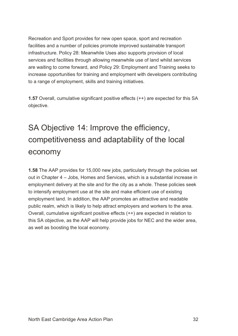Recreation and Sport provides for new open space, sport and recreation facilities and a number of policies promote improved sustainable transport infrastructure. Policy 28: Meanwhile Uses also supports provision of local services and facilities through allowing meanwhile use of land whilst services are waiting to come forward, and Policy 29: Employment and Training seeks to increase opportunities for training and employment with developers contributing to a range of employment, skills and training initiatives.

**1.57** Overall, cumulative significant positive effects (++) are expected for this SA objective.

## SA Objective 14: Improve the efficiency, competitiveness and adaptability of the local economy

 public realm, which is likely to help attract employers and workers to the area. **1.58** The AAP provides for 15,000 new jobs, particularly through the policies set out in Chapter 4 – Jobs, Homes and Services, which is a substantial increase in employment delivery at the site and for the city as a whole. These policies seek to intensify employment use at the site and make efficient use of existing employment land. In addition, the AAP promotes an attractive and readable Overall, cumulative significant positive effects (++) are expected in relation to this SA objective, as the AAP will help provide jobs for NEC and the wider area, as well as boosting the local economy.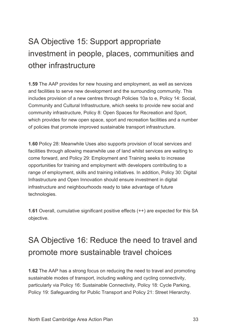## SA Objective 15: Support appropriate investment in people, places, communities and other infrastructure

 includes provision of a new centres through Policies 10a to e, Policy 14: Social, **1.59** The AAP provides for new housing and employment, as well as services and facilities to serve new development and the surrounding community. This Community and Cultural Infrastructure, which seeks to provide new social and community infrastructure, Policy 8: Open Spaces for Recreation and Sport, which provides for new open space, sport and recreation facilities and a number of policies that promote improved sustainable transport infrastructure.

**1.60** Policy 28: Meanwhile Uses also supports provision of local services and facilities through allowing meanwhile use of land whilst services are waiting to come forward, and Policy 29: Employment and Training seeks to increase opportunities for training and employment with developers contributing to a range of employment, skills and training initiatives. In addition, Policy 30: Digital Infrastructure and Open Innovation should ensure investment in digital infrastructure and neighbourhoods ready to take advantage of future technologies.

**1.61** Overall, cumulative significant positive effects (++) are expected for this SA objective.

## SA Objective 16: Reduce the need to travel and promote more sustainable travel choices

**1.62** The AAP has a strong focus on reducing the need to travel and promoting sustainable modes of transport, including walking and cycling connectivity, particularly via Policy 16: Sustainable Connectivity, Policy 18: Cycle Parking, Policy 19: Safeguarding for Public Transport and Policy 21: Street Hierarchy.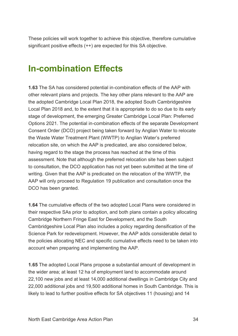These policies will work together to achieve this objective, therefore cumulative significant positive effects (++) are expected for this SA objective.

## **In-combination Effects**

 **1.63** The SA has considered potential in-combination effects of the AAP with stage of development, the emerging Greater Cambridge Local Plan: Preferred having regard to the stage the process has reached at the time of this writing. Given that the AAP is predicated on the relocation of the WWTP, the AAP will only proceed to Regulation 19 publication and consultation once the other relevant plans and projects. The key other plans relevant to the AAP are the adopted Cambridge Local Plan 2018, the adopted South Cambridgeshire Local Plan 2018 and, to the extent that it is appropriate to do so due to its early Options 2021. The potential in-combination effects of the separate Development Consent Order (DCO) project being taken forward by Anglian Water to relocate the Waste Water Treatment Plant (WWTP) to Anglian Water's preferred relocation site, on which the AAP is predicated, are also considered below, assessment. Note that although the preferred relocation site has been subject to consultation, the DCO application has not yet been submitted at the time of DCO has been granted.

 Cambridge Northern Fringe East for Development, and the South Cambridgeshire Local Plan also includes a policy regarding densification of the the policies allocating NEC and specific cumulative effects need to be taken into **1.64** The cumulative effects of the two adopted Local Plans were considered in their respective SAs prior to adoption, and both plans contain a policy allocating Science Park for redevelopment. However, the AAP adds considerable detail to account when preparing and implementing the AAP.

 the wider area; at least 12 ha of employment land to accommodate around likely to lead to further positive effects for SA objectives 11 (housing) and 14 **1.65** The adopted Local Plans propose a substantial amount of development in 22,100 new jobs and at least 14,000 additional dwellings in Cambridge City and 22,000 additional jobs and 19,500 additional homes in South Cambridge. This is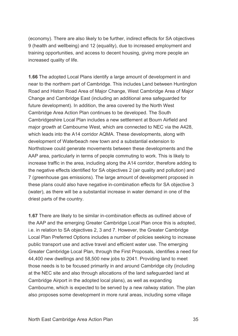(economy). There are also likely to be further, indirect effects for SA objectives training opportunities, and access to decent housing, giving more people an 9 (health and wellbeing) and 12 (equality), due to increased employment and increased quality of life.

 **1.66** The adopted Local Plans identify a large amount of development in and development of Waterbeach new town and a substantial extension to the negative effects identified for SA objectives 2 (air quality and pollution) and these plans could also have negative in-combination effects for SA objective 3 near to the northern part of Cambridge. This includes Land between Huntington Road and Histon Road Area of Major Change, West Cambridge Area of Major Change and Cambridge East (including an additional area safeguarded for future development). In addition, the area covered by the North West Cambridge Area Action Plan continues to be developed. The South Cambridgeshire Local Plan includes a new settlement at Bourn Airfield and major growth at Cambourne West, which are connected to NEC via the A428, which leads into the A14 corridor AQMA. These developments, along with Northstowe could generate movements between these developments and the AAP area, particularly in terms of people commuting to work. This is likely to increase traffic in the area, including along the A14 corridor, therefore adding to 7 (greenhouse gas emissions). The large amount of development proposed in (water), as there will be a substantial increase in water demand in one of the driest parts of the country.

 Local Plan Preferred Options includes a number of policies seeking to increase 44,400 new dwellings and 58,500 new jobs to 2041. Providing land to meet at the NEC site and also through allocations of the land safeguarded land at Cambourne, which is expected to be served by a new railway station. The plan **1.67** There are likely to be similar in-combination effects as outlined above of the AAP and the emerging Greater Cambridge Local Plan once this is adopted, i.e. in relation to SA objectives 2, 3 and 7. However, the Greater Cambridge public transport use and active travel and efficient water use. The emerging Greater Cambridge Local Plan, through the First Proposals, identifies a need for those needs is to be focused primarily in and around Cambridge city (including Cambridge Airport in the adopted local plans), as well as expanding also proposes some development in more rural areas, including some village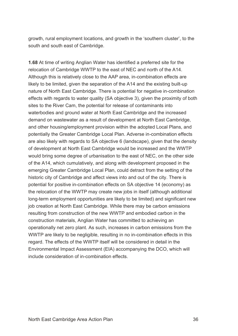growth, rural employment locations, and growth in the 'southern cluster', to the south and south east of Cambridge.

 likely to be limited, given the separation of the A14 and the existing built-up are also likely with regards to SA objective 6 (landscape), given that the density would bring some degree of urbanisation to the east of NEC, on the other side of the A14, which cumulatively, and along with development proposed in the operationally net zero plant. As such, increases in carbon emissions from the **1.68** At time of writing Anglian Water has identified a preferred site for the relocation of Cambridge WWTP to the east of NEC and north of the A14. Although this is relatively close to the AAP area, in-combination effects are nature of North East Cambridge. There is potential for negative in-combination effects with regards to water quality (SA objective 3), given the proximity of both sites to the River Cam, the potential for release of contaminants into waterbodies and ground water at North East Cambridge and the increased demand on wastewater as a result of development at North East Cambridge, and other housing/employment provision within the adopted Local Plans, and potentially the Greater Cambridge Local Plan. Adverse in-combination effects of development at North East Cambridge would be increased and the WWTP emerging Greater Cambridge Local Plan, could detract from the setting of the historic city of Cambridge and affect views into and out of the city. There is potential for positive in-combination effects on SA objective 14 (economy) as the relocation of the WWTP may create new jobs in itself (although additional long-term employment opportunities are likely to be limited) and significant new job creation at North East Cambridge. While there may be carbon emissions resulting from construction of the new WWTP and embodied carbon in the construction materials, Anglian Water has committed to achieving an WWTP are likely to be negligible, resulting in no in-combination effects in this regard. The effects of the WWTP itself will be considered in detail in the Environmental Impact Assessment (EIA) accompanying the DCO, which will include consideration of in-combination effects.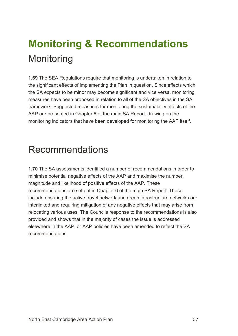## **Monitoring & Recommendations**  Monitoring

 the SA expects to be minor may become significant and vice versa, monitoring measures have been proposed in relation to all of the SA objectives in the SA **1.69** The SEA Regulations require that monitoring is undertaken in relation to the significant effects of implementing the Plan in question. Since effects which framework. Suggested measures for monitoring the sustainability effects of the AAP are presented in Chapter 6 of the main SA Report, drawing on the monitoring indicators that have been developed for monitoring the AAP itself.

## Recommendations

 recommendations are set out in Chapter 6 of the main SA Report. These elsewhere in the AAP, or AAP policies have been amended to reflect the SA **1.70** The SA assessments identified a number of recommendations in order to minimise potential negative effects of the AAP and maximise the number, magnitude and likelihood of positive effects of the AAP. These include ensuring the active travel network and green infrastructure networks are interlinked and requiring mitigation of any negative effects that may arise from relocating various uses. The Councils response to the recommendations is also provided and shows that in the majority of cases the issue is addressed recommendations.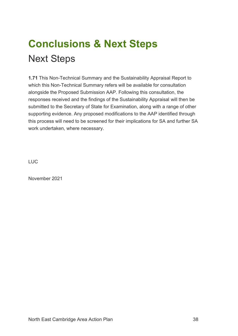## **Conclusions & Next Steps**  Next Steps

 responses received and the findings of the Sustainability Appraisal will then be **1.71** This Non-Technical Summary and the Sustainability Appraisal Report to which this Non-Technical Summary refers will be available for consultation alongside the Proposed Submission AAP. Following this consultation, the submitted to the Secretary of State for Examination, along with a range of other supporting evidence. Any proposed modifications to the AAP identified through this process will need to be screened for their implications for SA and further SA work undertaken, where necessary.

LUC

November 2021